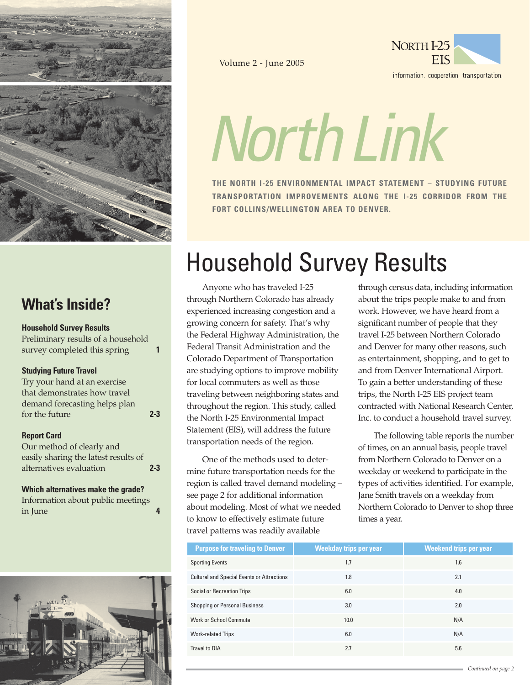

# **What's Inside?**

### **Household Survey Results**

Preliminary results of a household survey completed this spring **1**

## **Studying Future Travel**

| Try your hand at an exercise  |         |
|-------------------------------|---------|
| that demonstrates how travel  |         |
| demand forecasting helps plan |         |
| for the future                | $2 - 3$ |

### **Report Card**

| Our method of clearly and            |         |
|--------------------------------------|---------|
| easily sharing the latest results of |         |
| alternatives evaluation              | $2 - 3$ |

## **Which alternatives make the grade?**

Information about public meetings in June **4**



Volume 2 - June 2005



NorthLink

**THE NORTH I-25 ENVIRONMENTAL IMPACT STATEMENT – STUDYING FUTURE TRANSPORTATION IMPROVEMENTS ALONG THE I-25 CORRIDOR FROM THE FORT COLLINS/WELLINGTON AREA TO DENVER.**

# Household Survey Results

Anyone who has traveled I-25 through Northern Colorado has already experienced increasing congestion and a growing concern for safety. That's why the Federal Highway Administration, the Federal Transit Administration and the Colorado Department of Transportation are studying options to improve mobility for local commuters as well as those traveling between neighboring states and throughout the region. This study, called the North I-25 Environmental Impact Statement (EIS), will address the future transportation needs of the region.

One of the methods used to determine future transportation needs for the region is called travel demand modeling – see page 2 for additional information about modeling. Most of what we needed to know to effectively estimate future travel patterns was readily available

through census data, including information about the trips people make to and from work. However, we have heard from a significant number of people that they travel I-25 between Northern Colorado and Denver for many other reasons, such as entertainment, shopping, and to get to and from Denver International Airport. To gain a better understanding of these trips, the North I-25 EIS project team contracted with National Research Center, Inc. to conduct a household travel survey.

The following table reports the number of times, on an annual basis, people travel from Northern Colorado to Denver on a weekday or weekend to participate in the types of activities identified. For example, Jane Smith travels on a weekday from Northern Colorado to Denver to shop three times a year.

| <b>Purpose for traveling to Denver</b>            | <b>Weekday trips per year</b> | <b>Weekend trips per year</b> |
|---------------------------------------------------|-------------------------------|-------------------------------|
| <b>Sporting Events</b>                            | 1.7                           | 1.6                           |
| <b>Cultural and Special Events or Attractions</b> | 1.8                           | 2.1                           |
| Social or Recreation Trips                        | 6.0                           | 4.0                           |
| Shopping or Personal Business                     | 3.0                           | 2.0                           |
| <b>Work or School Commute</b>                     | 10.0                          | N/A                           |
| <b>Work-related Trips</b>                         | 6.0                           | N/A                           |
| Travel to DIA                                     | 2.7                           | 5.6                           |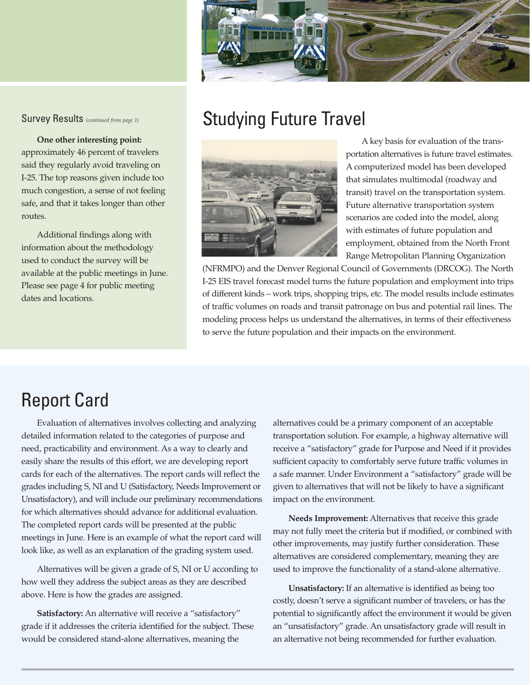

#### Survey Results *(continued from page 1)*

**One other interesting point:**  approximately 46 percent of travelers said they regularly avoid traveling on I-25. The top reasons given include too much congestion, a sense of not feeling safe, and that it takes longer than other routes.

Additional findings along with information about the methodology used to conduct the survey will be available at the public meetings in June. Please see page 4 for public meeting dates and locations.

# Studying Future Travel



A key basis for evaluation of the transportation alternatives is future travel estimates. A computerized model has been developed that simulates multimodal (roadway and transit) travel on the transportation system. Future alternative transportation system scenarios are coded into the model, along with estimates of future population and employment, obtained from the North Front Range Metropolitan Planning Organization

(NFRMPO) and the Denver Regional Council of Governments (DRCOG). The North I-25 EIS travel forecast model turns the future population and employment into trips of different kinds – work trips, shopping trips, etc. The model results include estimates of traffic volumes on roads and transit patronage on bus and potential rail lines. The modeling process helps us understand the alternatives, in terms of their effectiveness to serve the future population and their impacts on the environment.

# Report Card

Evaluation of alternatives involves collecting and analyzing detailed information related to the categories of purpose and need, practicability and environment. As a way to clearly and easily share the results of this effort, we are developing report cards for each of the alternatives. The report cards will reflect the grades including S, NI and U (Satisfactory, Needs Improvement or Unsatisfactory), and will include our preliminary recommendations for which alternatives should advance for additional evaluation. The completed report cards will be presented at the public meetings in June. Here is an example of what the report card will look like, as well as an explanation of the grading system used.

Alternatives will be given a grade of S, NI or U according to how well they address the subject areas as they are described above. Here is how the grades are assigned.

**Satisfactory:** An alternative will receive a "satisfactory" grade if it addresses the criteria identified for the subject. These would be considered stand-alone alternatives, meaning the

alternatives could be a primary component of an acceptable transportation solution. For example, a highway alternative will receive a "satisfactory" grade for Purpose and Need if it provides sufficient capacity to comfortably serve future traffic volumes in a safe manner. Under Environment a "satisfactory" grade will be given to alternatives that will not be likely to have a significant impact on the environment.

**Needs Improvement:** Alternatives that receive this grade may not fully meet the criteria but if modified, or combined with other improvements, may justify further consideration. These alternatives are considered complementary, meaning they are used to improve the functionality of a stand-alone alternative.

**Unsatisfactory:** If an alternative is identified as being too costly, doesn't serve a significant number of travelers, or has the potential to significantly affect the environment it would be given an "unsatisfactory" grade. An unsatisfactory grade will result in an alternative not being recommended for further evaluation.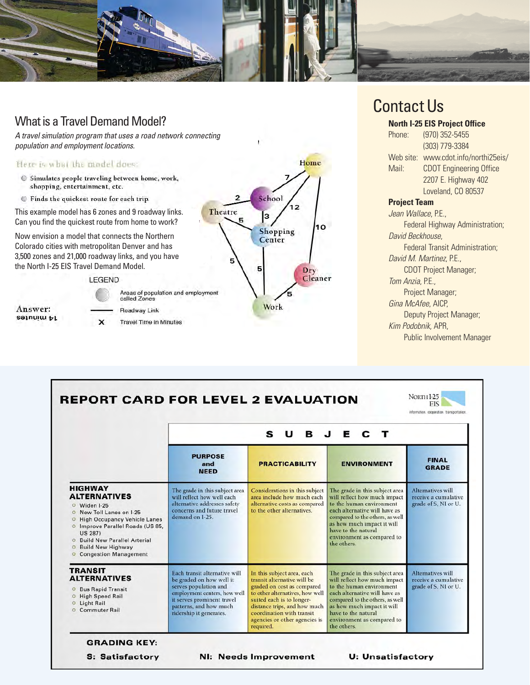

# What is a Travel Demand Model?

A travel simulation program that uses a road network connecting population and employment locations.

#### Here is what the model does:

- Simulates people traveling between home, work, shopping, entertainment, etc.
- Finds the quickest route for each trip.

This example model has 6 zones and 9 roadway links. Can you find the quickest route from home to work?

Now envision a model that connects the Northern Colorado cities with metropolitan Denver and has 3,500 zones and 21,000 roadway links, and you have the North I-25 EIS Travel Demand Model.

LEGEND







# Contact Us

### **North I-25 EIS Project Office**

Phone: (970) 352-5455 (303) 779-3384 Web site: www.cdot.info/northi25eis/ Mail: CDOT Engineering Office 2207 E. Highway 402 Loveland, CO 80537

### **Project Team**

Jean Wallace, P.E., Federal Highway Administration; David Beckhouse, Federal Transit Administration; David M. Martinez, P.E., CDOT Project Manager; Tom Anzia, P.E., Project Manager; Gina McAfee, AICP, Deputy Project Manager; Kim Podobnik, APR, Public Involvement Manager

|                                                                                                                                                                                                                                                                                                                                       | E C T<br>s<br>U<br>B J                                                                                                                                                                                |                                                                                                                                                                                                                                                                    |                                                                                                                                                                                                                                                                  |                                                                          |
|---------------------------------------------------------------------------------------------------------------------------------------------------------------------------------------------------------------------------------------------------------------------------------------------------------------------------------------|-------------------------------------------------------------------------------------------------------------------------------------------------------------------------------------------------------|--------------------------------------------------------------------------------------------------------------------------------------------------------------------------------------------------------------------------------------------------------------------|------------------------------------------------------------------------------------------------------------------------------------------------------------------------------------------------------------------------------------------------------------------|--------------------------------------------------------------------------|
|                                                                                                                                                                                                                                                                                                                                       | <b>PURPOSE</b><br>and<br><b>NEED</b>                                                                                                                                                                  | <b>PRACTICABILITY</b>                                                                                                                                                                                                                                              | <b>ENVIRONMENT</b>                                                                                                                                                                                                                                               | <b>FINAL</b><br><b>GRADE</b>                                             |
| <b>HIGHWAY</b><br><b>ALTERNATIVES</b><br>O Widen I-25<br>New Toll Lanes on I-25<br>$\circ$<br><b>High Occupancy Vehicle Lanes</b><br>$\circ$<br>O Improve Parallel Roads (US 85,<br><b>US 287)</b><br><b>Build New Parallel Arterial</b><br>$\circ$<br><b>Build New Highway</b><br>$\circ$<br><b>Congestion Management</b><br>$\circ$ | The grade in this subject area<br>will reflect how well each<br>alternative addresses safety<br>concerns and future travel<br>demand on I-25.                                                         | Considerations in this subject<br>area include how much each<br>alternative costs as compared<br>to the other alternatives.                                                                                                                                        | The grade in this subject area<br>will reflect how much impact<br>to the human environment<br>each alternative will have as<br>compared to the others, as well<br>as how much impact it will<br>have to the natural<br>environment as compared to<br>the others. | Alternatives will<br>receive a cumulative<br>grade of S, NI or U.        |
| <b>TRANSIT</b><br><b>ALTERNATIVES</b><br><b>O</b> Bus Rapid Transit<br>O High Speed Rail<br><b>O</b> Light Rail<br><b>Commuter Rail</b>                                                                                                                                                                                               | Each transit alternative will<br>be graded on how well it<br>serves population and<br>employment centers, how well<br>it serves prominent travel<br>patterns, and how much<br>ridership it generates. | In this subject area, each<br>transit alternative will be<br>graded on cost as compared<br>to other alternatives, how well<br>suited each is to longer-<br>distance trips, and how much<br>coordination with transit<br>agencies or other agencies is<br>required. | The grade in this subject area<br>will reflect how much impact<br>to the human environment<br>each alternative will have as<br>compared to the others, as well<br>as how much impact it will<br>have to the natural<br>environment as compared to<br>the others. | <b>Alternatives will</b><br>receive a cumulative<br>grade of S, NI or U. |